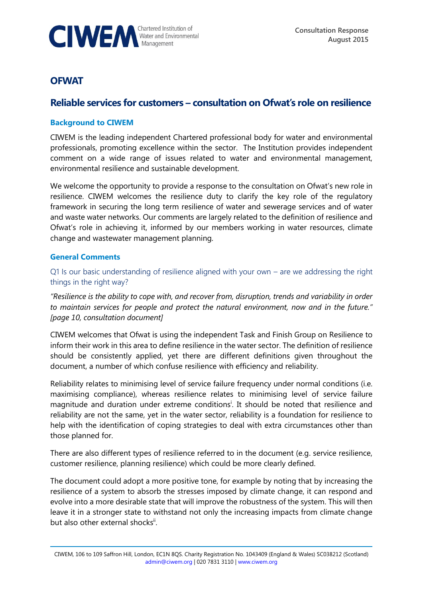

# **OFWAT**

## **Reliable services for customers – consultation on Ofwat's role on resilience**

## **Background to CIWEM**

CIWEM is the leading independent Chartered professional body for water and environmental professionals, promoting excellence within the sector. The Institution provides independent comment on a wide range of issues related to water and environmental management, environmental resilience and sustainable development.

We welcome the opportunity to provide a response to the consultation on Ofwat's new role in resilience. CIWEM welcomes the resilience duty to clarify the key role of the regulatory framework in securing the long term resilience of water and sewerage services and of water and waste water networks. Our comments are largely related to the definition of resilience and Ofwat's role in achieving it, informed by our members working in water resources, climate change and wastewater management planning.

#### **General Comments**

Q1 Is our basic understanding of resilience aligned with your own – are we addressing the right things in the right way?

*"Resilience is the ability to cope with, and recover from, disruption, trends and variability in order to maintain services for people and protect the natural environment, now and in the future." [page 10, consultation document]*

CIWEM welcomes that Ofwat is using the independent Task and Finish Group on Resilience to inform their work in this area to define resilience in the water sector. The definition of resilience should be consistently applied, yet there are different definitions given throughout the document, a number of which confuse resilience with efficiency and reliability.

Reliability relates to minimising level of service failure frequency under normal conditions (i.e. maximising compliance), whereas resilience relates to minimising level of service failure magnitude and duration under extreme conditions<sup>i</sup>. It should be noted that resilience and reliability are not the same, yet in the water sector, reliability is a foundation for resilience to help with the identification of coping strategies to deal with extra circumstances other than those planned for.

There are also different types of resilience referred to in the document (e.g. service resilience, customer resilience, planning resilience) which could be more clearly defined.

The document could adopt a more positive tone, for example by noting that by increasing the resilience of a system to absorb the stresses imposed by climate change, it can respond and evolve into a more desirable state that will improve the robustness of the system. This will then leave it in a stronger state to withstand not only the increasing impacts from climate change but also other external shocks<sup>ii</sup>.

CIWEM, 106 to 109 Saffron Hill, London, EC1N 8QS. Charity Registration No. 1043409 (England & Wales) SC038212 (Scotland) [admin@ciwem.org](mailto:admin@ciwem.org) | 020 7831 3110 | [www.ciwem.org](http://www.ciwem.org/)